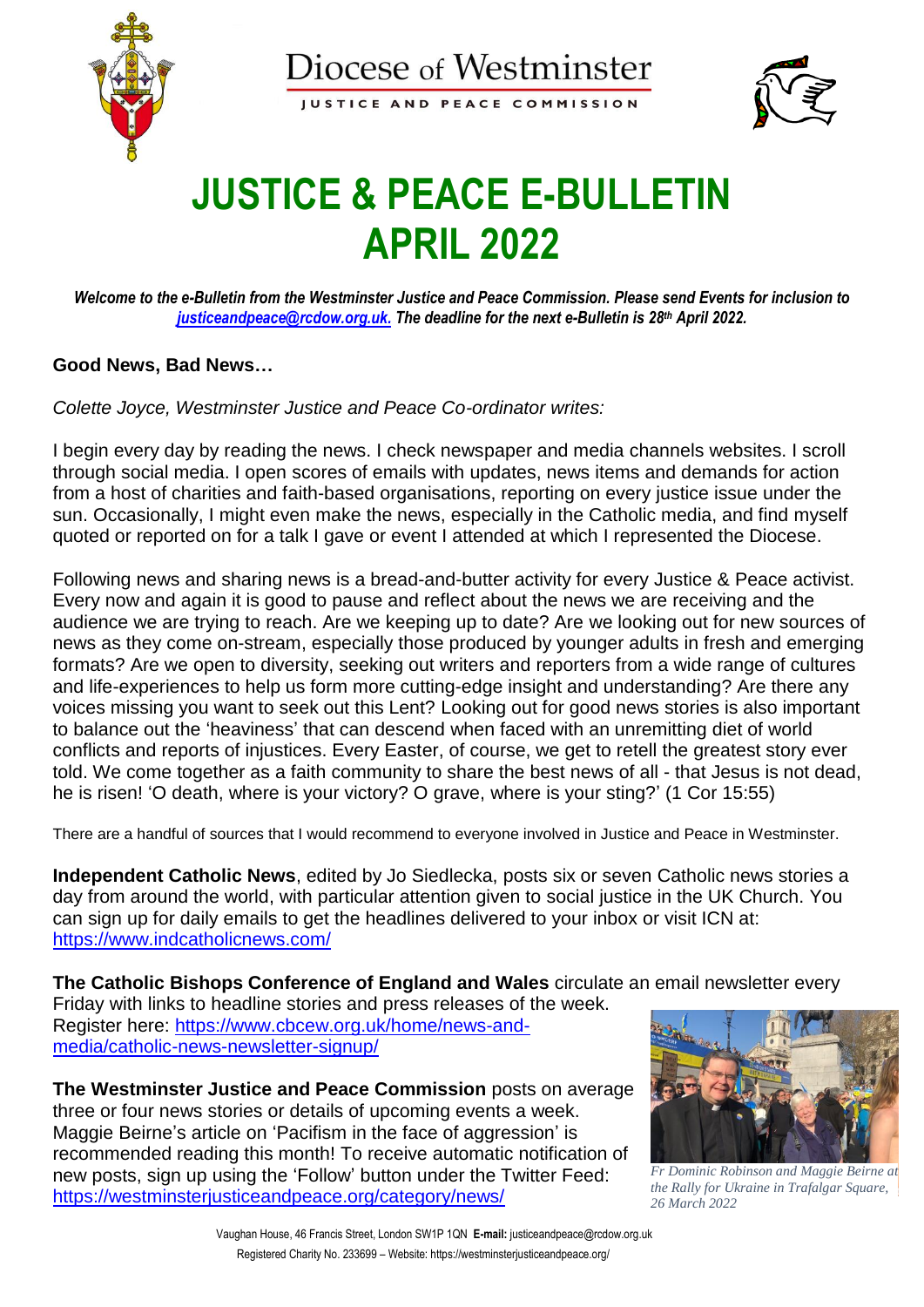

**IUSTICE AND PEACE COMMISSION** 



## **JUSTICE & PEACE E-BULLETIN APRIL 2022**

*Welcome to the e-Bulletin from the Westminster Justice and Peace Commission. Please send Events for inclusion to [justiceandpeace@rcdow.org.uk.](about:blank) The deadline for the next e-Bulletin is 28th April 2022.* 

## **Good News, Bad News…**

*Colette Joyce, Westminster Justice and Peace Co-ordinator writes:*

I begin every day by reading the news. I check newspaper and media channels websites. I scroll through social media. I open scores of emails with updates, news items and demands for action from a host of charities and faith-based organisations, reporting on every justice issue under the sun. Occasionally, I might even make the news, especially in the Catholic media, and find myself quoted or reported on for a talk I gave or event I attended at which I represented the Diocese.

Following news and sharing news is a bread-and-butter activity for every Justice & Peace activist. Every now and again it is good to pause and reflect about the news we are receiving and the audience we are trying to reach. Are we keeping up to date? Are we looking out for new sources of news as they come on-stream, especially those produced by younger adults in fresh and emerging formats? Are we open to diversity, seeking out writers and reporters from a wide range of cultures and life-experiences to help us form more cutting-edge insight and understanding? Are there any voices missing you want to seek out this Lent? Looking out for good news stories is also important to balance out the 'heaviness' that can descend when faced with an unremitting diet of world conflicts and reports of injustices. Every Easter, of course, we get to retell the greatest story ever told. We come together as a faith community to share the best news of all - that Jesus is not dead, he is risen! 'O death, where is your victory? O grave, where is your sting?' (1 Cor 15:55)

There are a handful of sources that I would recommend to everyone involved in Justice and Peace in Westminster.

**Independent Catholic News**, edited by Jo Siedlecka, posts six or seven Catholic news stories a day from around the world, with particular attention given to social justice in the UK Church. You can sign up for daily emails to get the headlines delivered to your inbox or visit ICN at: <https://www.indcatholicnews.com/>

**The Catholic Bishops Conference of England and Wales** circulate an email newsletter every

Friday with links to headline stories and press releases of the week. Register here: [https://www.cbcew.org.uk/home/news-and](https://www.cbcew.org.uk/home/news-and-media/catholic-news-newsletter-signup/)[media/catholic-news-newsletter-signup/](https://www.cbcew.org.uk/home/news-and-media/catholic-news-newsletter-signup/)

**The Westminster Justice and Peace Commission** posts on average three or four news stories or details of upcoming events a week. Maggie Beirne's article on 'Pacifism in the face of aggression' is recommended reading this month! To receive automatic notification of new posts, sign up using the 'Follow' button under the Twitter Feed: <https://westminsterjusticeandpeace.org/category/news/>



*Fr Dominic Robinson and Maggie Beirne at the Rally for Ukraine in Trafalgar Square, 26 March 2022*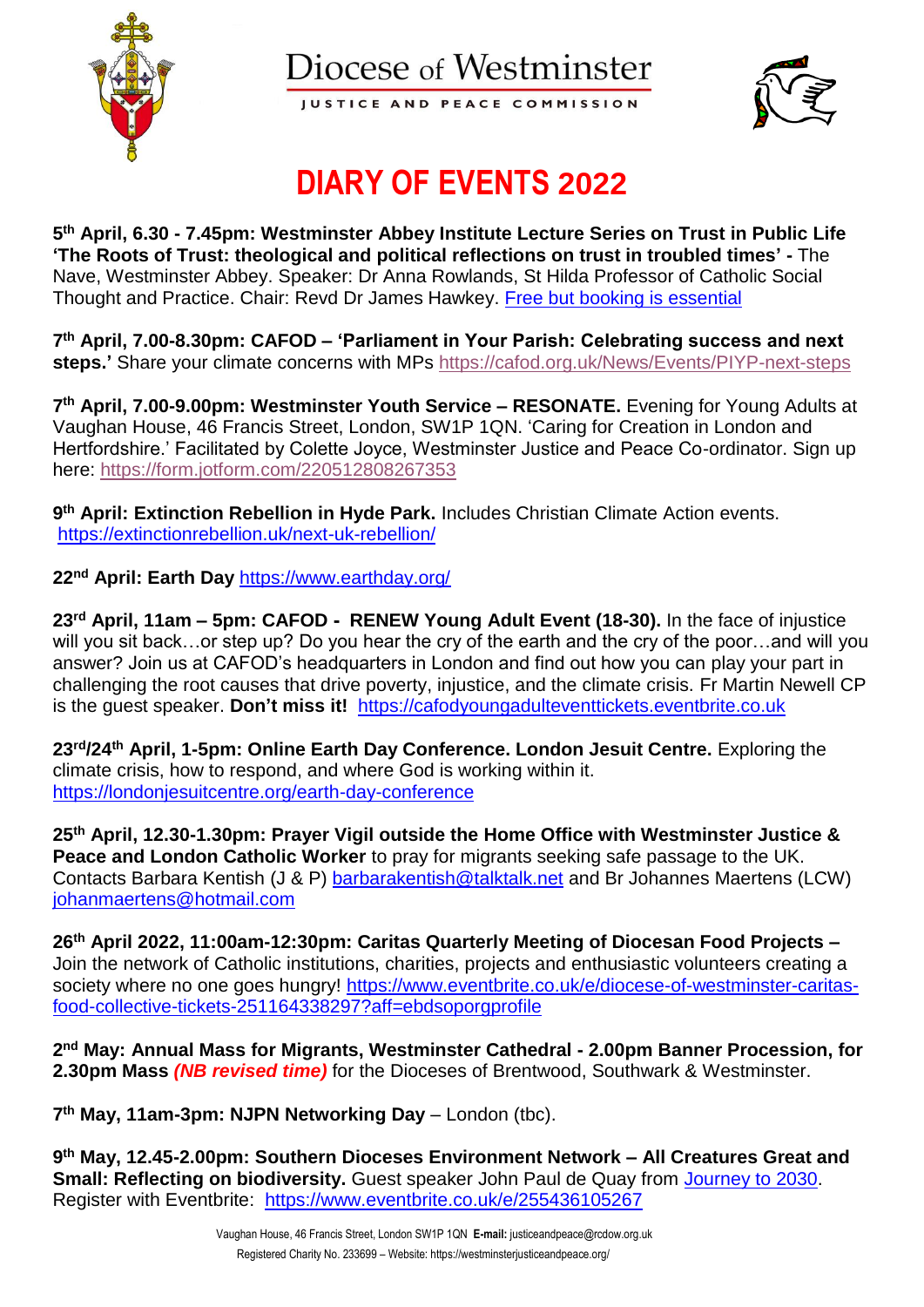

**IUSTICE AND PEACE COMMISSION** 



## **DIARY OF EVENTS 2022**

**5 th April, 6.30 - 7.45pm: Westminster Abbey Institute Lecture Series on Trust in Public Life 'The Roots of Trust: theological and political reflections on trust in troubled times' -** The Nave, Westminster Abbey. Speaker: Dr Anna Rowlands, St Hilda Professor of Catholic Social Thought and Practice. Chair: Revd Dr James Hawkey. [Free but booking is essential](https://www.westminster-abbey.org/abbey-events/lectures-and-talks/2022/april/charles-gore-lecture-2022?utm_source=Westminster+Abbey+Institute&utm_campaign=266b74494c-EMAIL_CAMPAIGN_2018_09_12_02_20_COPY_02&utm_medium=email&utm_term=0_68121f77ac-266b74494c-197599850&mc_cid=266b74494c&mc_eid=e5422ef191)

**7 th April, 7.00-8.30pm: CAFOD – 'Parliament in Your Parish: Celebrating success and next steps.'** Share your climate concerns with MPs <https://cafod.org.uk/News/Events/PIYP-next-steps>

**7 th April, 7.00-9.00pm: Westminster Youth Service – RESONATE.** Evening for Young Adults at Vaughan House, 46 Francis Street, London, SW1P 1QN. 'Caring for Creation in London and Hertfordshire.' Facilitated by Colette Joyce, Westminster Justice and Peace Co-ordinator. Sign up here:<https://form.jotform.com/220512808267353>

**9 th April: Extinction Rebellion in Hyde Park.** Includes Christian Climate Action events. <https://extinctionrebellion.uk/next-uk-rebellion/>

**22nd April: Earth Day** <https://www.earthday.org/>

**23rd April, 11am – 5pm: CAFOD - RENEW Young Adult Event (18-30).** In the face of injustice will you sit back...or step up? Do you hear the cry of the earth and the cry of the poor...and will you answer? Join us at CAFOD's headquarters in London and find out how you can play your part in challenging the root causes that drive poverty, injustice, and the climate crisis. Fr Martin Newell CP is the guest speaker. **Don't miss it!** [https://cafodyoungadulteventtickets.eventbrite.co.uk](https://cafodyoungadulteventtickets.eventbrite.co.uk/)

**23rd/24th April, 1-5pm: Online Earth Day Conference. London Jesuit Centre.** Exploring the climate crisis, how to respond, and where God is working within it. <https://londonjesuitcentre.org/earth-day-conference>

**25th April, 12.30-1.30pm: Prayer Vigil outside the Home Office with Westminster Justice & Peace and London Catholic Worker** to pray for migrants seeking safe passage to the UK. Contacts Barbara Kentish (J & P) [barbarakentish@talktalk.net](mailto:barbarakentish@talktalk.net) and Br Johannes Maertens (LCW) [johanmaertens@hotmail.com](mailto:johanmaertens@hotmail.com)

**26th April 2022, 11:00am-12:30pm: Caritas Quarterly Meeting of Diocesan Food Projects –** Join the network of Catholic institutions, charities, projects and enthusiastic volunteers creating a society where no one goes hungry! [https://www.eventbrite.co.uk/e/diocese-of-westminster-caritas](https://www.eventbrite.co.uk/e/diocese-of-westminster-caritas-food-collective-tickets-251164338297?aff=ebdsoporgprofile)[food-collective-tickets-251164338297?aff=ebdsoporgprofile](https://www.eventbrite.co.uk/e/diocese-of-westminster-caritas-food-collective-tickets-251164338297?aff=ebdsoporgprofile)

**2 nd May: Annual Mass for Migrants, Westminster Cathedral - 2.00pm Banner Procession, for 2.30pm Mass** *(NB revised time)* for the Dioceses of Brentwood, Southwark & Westminster.

**7 th May, 11am-3pm: NJPN Networking Day** – London (tbc).

**9 th May, 12.45-2.00pm: Southern Dioceses Environment Network – All Creatures Great and Small: Reflecting on biodiversity.** Guest speaker John Paul de Quay from [Journey to 2030.](https://journeyto2030.org/) Register with Eventbrite: <https://www.eventbrite.co.uk/e/255436105267>